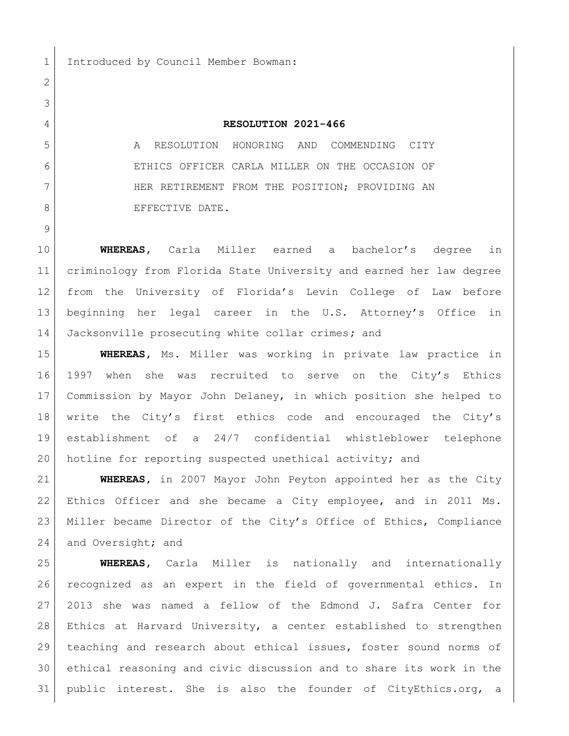## **RESOLUTION 2021-466**

 A RESOLUTION HONORING AND COMMENDING CITY ETHICS OFFICER CARLA MILLER ON THE OCCASION OF 7 HER RETIREMENT FROM THE POSITION; PROVIDING AN 8 BEFECTIVE DATE.

 **WHEREAS,** Carla Miller earned a bachelor's degree in criminology from Florida State University and earned her law degree from the University of Florida's Levin College of Law before beginning her legal career in the U.S. Attorney's Office in Jacksonville prosecuting white collar crimes**;** and

 **WHEREAS,** Ms. Miller was working in private law practice in 1997 when she was recruited to serve on the City's Ethics Commission by Mayor John Delaney, in which position she helped to write the City's first ethics code and encouraged the City's establishment of a 24/7 confidential whistleblower telephone hotline for reporting suspected unethical activity; and

 **WHEREAS,** in 2007 Mayor John Peyton appointed her as the City Ethics Officer and she became a City employee, and in 2011 Ms. Miller became Director of the City's Office of Ethics, Compliance 24 and Oversight; and

 **WHEREAS,** Carla Miller is nationally and internationally recognized as an expert in the field of governmental ethics. In 2013 she was named a fellow of the Edmond J. Safra Center for Ethics at Harvard University, a center established to strengthen teaching and research about ethical issues, foster sound norms of ethical reasoning and civic discussion and to share its work in the public interest. She is also the founder of CityEthics.org, a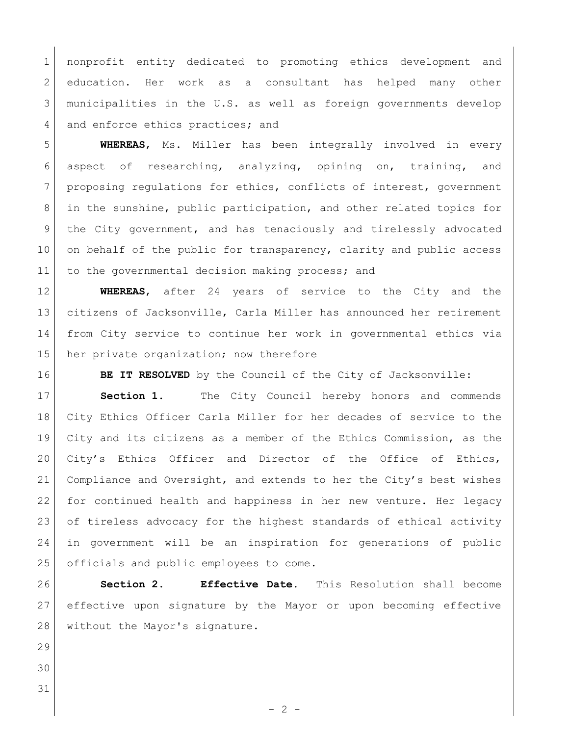nonprofit entity dedicated to promoting ethics development and 2 education. Her work as a consultant has helped many other municipalities in the U.S. as well as foreign governments develop 4 and enforce ethics practices; and

 **WHEREAS**, Ms. Miller has been integrally involved in every aspect of researching, analyzing, opining on, training, and 7 proposing regulations for ethics, conflicts of interest, government in the sunshine, public participation, and other related topics for the City government, and has tenaciously and tirelessly advocated 10 on behalf of the public for transparency, clarity and public access 11 to the governmental decision making process; and

 **WHEREAS**, after 24 years of service to the City and the citizens of Jacksonville, Carla Miller has announced her retirement from City service to continue her work in governmental ethics via 15 her private organization; now therefore

**BE IT RESOLVED** by the Council of the City of Jacksonville:

 **Section 1.** The City Council hereby honors and commends City Ethics Officer Carla Miller for her decades of service to the City and its citizens as a member of the Ethics Commission, as the 20 City's Ethics Officer and Director of the Office of Ethics, Compliance and Oversight, and extends to her the City's best wishes 22 for continued health and happiness in her new venture. Her legacy 23 of tireless advocacy for the highest standards of ethical activity in government will be an inspiration for generations of public 25 officials and public employees to come.

 **Section 2. Effective Date.** This Resolution shall become effective upon signature by the Mayor or upon becoming effective 28 without the Mayor's signature.

 

 $-2 -$